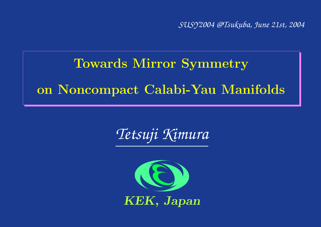*SUSY2004 @Tsukuba, June 21st, 2004*

# Towards Mirror Symmetry on Noncompact Calabi-Yau Manifolds

*Tetsuji Kimura*

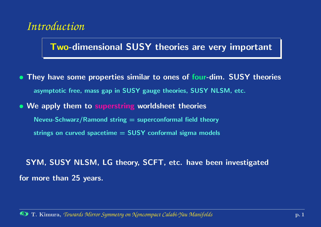## *Introduction*

### Two-dimensional SUSY theories are very important

- They have some properties similar to ones of four-dim. SUSY theories asymptotic free, mass gap in SUSY gauge theories, SUSY NLSM, etc.
- We apply them to superstring worldsheet theories
	- Neveu-Schwarz/Ramond string  $=$  superconformal field theory
	- strings on curved spacetime  $=$  SUSY conformal sigma models

## SYM, SUSY NLSM, LG theory, SCFT, etc. have been investigated for more than 25 years.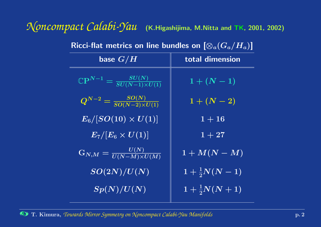*Noncompact Calabi-Yau* (K.Higashijima, M.Nitta and TK, 2001, 2002)

<span id="page-2-0"></span>

| base $G/H$                                                    | total dimension           |
|---------------------------------------------------------------|---------------------------|
| $\mathbb{C}\mathrm{P}^{N-1}=\frac{SU(N)}{SU(N-1)\times U(1)}$ | $1 + (N - 1)$             |
| $\overline{Q^{N-2}} = \frac{SO(N)}{SO(N-2) \times U(1)}$      | $1 + (N - 2)$             |
| $\boxed{E_6/[SO(10)\times U(1)]}$                             | $1 + 16$                  |
| $\left E_7/[E_6\times U(1)]\right $                           | $1 + 27$                  |
| $\boxed{\text{G}_{N,M}=\frac{U(N)}{U(N-M)\times U(M)}}$       | $\overline{1+M(N-M)}$     |
| $\langle SO(2N)/U(N)\rangle$                                  | $1+\frac{1}{2}N(N-1)$     |
| $\overline{Sp(N)/U(N)}$                                       | $1 + \frac{1}{2}N(N + 1)$ |

Ricci-flat metrics on line bundles on  $[\otimes_a (G_a/H_a)]$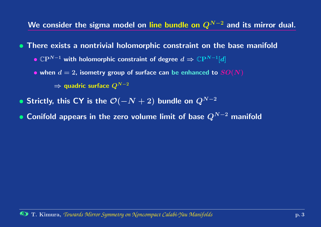We consider the sigma model on line bundle on  ${\it Q^{N-2}}$  and its mirror dual.

• There exists <sup>a</sup> nontrivial holomorphic constraint on the base manifold

- $\bullet$   $\mathbb{C}{\rm P}^{N-1}$  with holomorphic constraint of degree  $d \Rightarrow \mathbb{C}{\rm P}^{N-1}[d]$
- $\bullet$  when  $d=2$ , isometry group of surface can be enhanced to  $SO(N)$

 $\Rightarrow$  quadric surface  $Q^{N-2}$ 

- $\bullet$  Strictly, this CY is the  $\mathcal{O}(-N+2)$  bundle on  $Q^{N-2}$
- Conifold appears in the zero volume limit of base  $Q^{N-2}$  manifold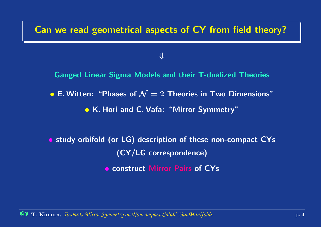#### Can we read geometrical aspects of CY from field theory?

#### ⇓

Gauged Linear Sigma Models and their T-dualized Theories

 $\bullet$  E. Witten: "Phases of  $\mathcal{N}=2$  Theories in Two Dimensions"

• K. Hori and C. Vafa: "Mirror Symmetry"

• study orbifold (or LG) description of these non-compact CYs (CY/LG correspondence) **• construct Mirror Pairs of CYs**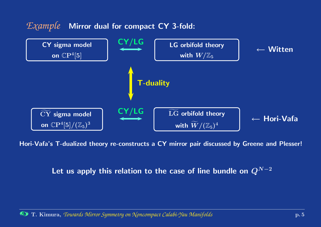

Hori-Vafa's T-dualized theory re-constructs <sup>a</sup> CY mirror pair discussed by Greene and Plesser!

Let us apply this relation to the case of line bundle on  ${\it Q^{N-2}}$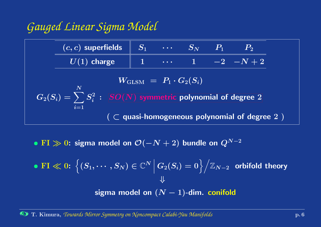## <span id="page-6-0"></span>*Gauged Linear Sigma Model*

| $(c, c)$ superfields                                                       | $S_1$ | $\cdots$ | $S_N$ | $P_1$ | $P_2$    |
|----------------------------------------------------------------------------|-------|----------|-------|-------|----------|
| $U(1)$ charge                                                              | 1     | $\cdots$ | 1     | $-2$  | $-N + 2$ |
| $W_{\text{GLSM}} = P_1 \cdot G_2(S_i)$                                     |       |          |       |       |          |
| $G_2(S_i) = \sum_{i=1}^N S_i^2$ : $SO(N)$ symmetric polynomial of degree 2 |       |          |       |       |          |
| $(\subset$ quasi-homogeneous polynomial of degree 2)                       |       |          |       |       |          |

 $\bullet$   $\mathrm{FI} \gg 0$ : sigma model on  $\mathcal{O}(-N+2)$  bundle on  $Q^{N-2}$ 

\n- FI < 0: 
$$
\left\{ (S_1, \cdots, S_N) \in \mathbb{C}^N \, \middle| \, G_2(S_i) = 0 \right\} \Big/ \mathbb{Z}_{N-2}
$$
 orbifold theory
\n- $\Downarrow$  sigma model on  $(N-1)$ -dim. conifold
\n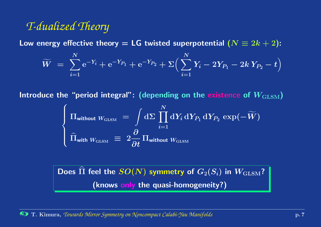## *T-dualized Theory*

Low energy effective theory  $=$  LG twisted superpotential  $(N\equiv 2k+2)$ :

$$
\widetilde{W} \,\, = \,\, \sum_{i=1}^N \mathrm{e}^{-Y_i} + \mathrm{e}^{-Y_{P_1}} + \mathrm{e}^{-Y_{P_2}} + \Sigma \Big( \sum_{i=1}^N Y_i - 2Y_{P_1} - 2k \, Y_{P_2} - t \Big)
$$

Introduce the "period integral": (depending on the existence of  $W_{\rm GLSM})$ 

$$
\left\{ \begin{aligned} & \Pi_{\text{without }W_{\text{GLSM}}} \; = \; \int \mathrm{d}\Sigma \, \prod_{i=1}^N \mathrm{d}Y_i \, \mathrm{d}Y_{P_1} \, \mathrm{d}Y_{P_2} \, \exp(-\widetilde{W}) \\ & \widehat{\Pi}_{\text{with }W_{\text{GLSM}}} \; \equiv \; 2 \frac{\partial}{\partial t} \, \Pi_{\text{without }W_{\text{GLSM}}} \end{aligned} \right.
$$

Does Π  $\widehat{\phantom{a}}$  $\Pi$  feel the  $SO(N)$  [symmetry](#page-6-0) of  $G_2(S_i)$  in  $W_{\rm GLSM}$ ? (knows only the quasi-homogeneity?)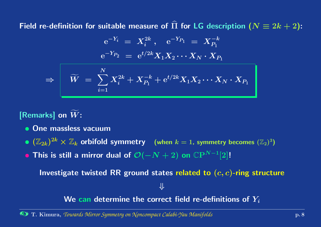Field re-definition for suitable measure of  $\Pi$  $\widehat{\phantom{a}}$  $\Pi$  for LG description  $(N\equiv 2k+2)$ :

$$
\begin{array}{rcl} {\rm e}^{-Y_i} &=& X_i^{2k}\ ,\quad {\rm e}^{-Y_{P_1}}\ =\ X_{P_1}^{-k}\\[3mm] {\rm e}^{-Y_{P_2}}\ =\ {\rm e}^{t/2k}X_1X_2\cdots X_N\cdot X_{P_1}\end{array}
$$

$$
\Rightarrow \qquad \widetilde W \ = \ \sum_{i=1}^N X_i^{2k} + X_{P_1}^{-k} + \mathrm{e}^{t/2k} X_1 X_2 \cdots X_N \cdot X_{P_1}
$$

[Remarks] on  $\widetilde{W}$  $\boldsymbol{W}$  :

- One massless vacuum
- $\bullet\; (\mathbb{Z}_{2k})^{2k} \times \mathbb{Z}_k$  orbifold symmetry (when  $k=1$ , symmetry becomes  $(\mathbb{Z}_2)^3)$
- $\bullet$  This is still a mirror dual of  $\mathcal{O}(-N+2)$  on  $\mathbb{C}\mathrm{P}^{N-1}[2]!$

Investigate twisted RR ground states related to  $(c, c)$ -ring structure

⇓

We can determine the correct field re-definitions of  $Y_i$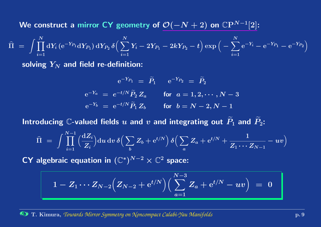We construct a mirror <code>CY</code> geometry of  $\mathcal{O}(-N+2)$  on  $\mathbb{C}\mathrm{P}^{N-1}[2]$ :

$$
\widehat{\Pi} \,\,=\,\, \int \prod_{i=1}^N \mathrm{d} Y_i \, (\mathrm{e}^{-Y_{P_1}} \mathrm{d} Y_{P_1}) \, \mathrm{d} Y_{P_2} \, \delta \Big( \sum_{i=1}^N Y_i - 2 Y_{P_1} - 2 k Y_{P_2} - t \Big) \exp \Big( - \sum_{i=1}^N \mathrm{e}^{-Y_i} - \mathrm{e}^{-Y_{P_1}} - \mathrm{e}^{-Y_{P_2}} \Big)
$$

solving  $Y_N$  and field re-definition:

$$
e^{-Y_{P_1}} = \tilde{P}_1 \t e^{-Y_{P_2}} = \tilde{P}_2
$$
  
\n
$$
e^{-Y_a} = e^{-t/N} \tilde{P}_2 Z_a \t \text{for } a = 1, 2, \dots, N - 3
$$
  
\n
$$
e^{-Y_b} = e^{-t/N} \tilde{P}_1 Z_b \t \text{for } b = N - 2, N - 1
$$

Introducing  $\mathbb C$ -valued fields  $u$  and  $v$  and integrating out  $\widetilde{P}_1$  $\widetilde{P}_1$  and  $\widetilde{P}_2$  $\mathsf{P}_2$  :

$$
\widehat{\Pi} \,\,=\,\, \int \prod_{i=1}^{N-1} \Big(\frac{\mathrm{d} Z_i}{Z_i}\Big) \mathrm{d} u \, \mathrm{d} v \, \delta \Big(\sum_b Z_b + \mathrm{e}^{t/N}\Big) \, \delta \Big(\sum_a Z_a + \mathrm{e}^{t/N} + \frac{1}{Z_1 \cdots Z_{N-1}} - uv \Big)
$$

 ${\sf CY}$  algebraic equation in  $({\mathbb C}^*)^{N-2}\times {\mathbb C}^2$  space:

$$
1 - Z_1 \cdots Z_{N-2} \Big(Z_{N-2} + {\rm e}^{t/N}\Big) \Big( \sum_{a=1}^{N-3} Z_a + {\rm e}^{t/N} - uv \Big) \ = \ 0
$$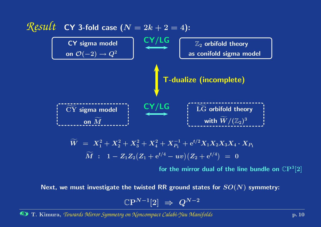

$$
\begin{array}{llll} \widetilde W&=& X_1^2+X_2^2+X_3^2+X_4^2+X_{P_1}^{-1}+{\rm e}^{t/2}X_1X_2X_3X_4\cdot X_{P_1}\\ &\widetilde M&:&1-Z_1Z_2\bigl(Z_1+{\rm e}^{t/4}-uv\bigl)\bigl(Z_2+{\rm e}^{t/4}\bigr)&=&0 \end{array}
$$

for the mirror dual of the line bundle on  $\mathbb{C}\mathrm{P}^3[2]$ 

Next, we must investigate the twisted RR ground states for  $SO(N)$  symmetry:

$$
\mathbb{C}\mathrm{P}^{N-1}[2]\;\Rightarrow\;Q^{N-2}
$$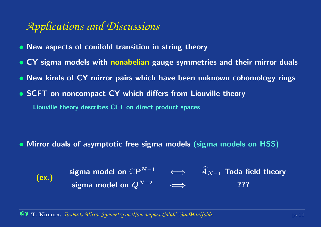## *Applications and Discussions*

- New aspects of conifold transition in string theory
- CY sigma models with nonabelian gauge symmetries and their mirror duals
- New kinds of CY mirror pairs which have been unknown cohomology rings
- SCFT on noncompact CY which differs from Liouville theory Liouville theory describes CFT on direct product spaces

- Mirror duals of asymptotic free sigma models (sigma models on HSS)
	- (ex.) sigma model on  $\mathbb{C}P^{N-1}$   $\iff$   $\widehat{A}_{N-1}$  Toda field theory sigma model on  $Q^{N-2}$   $\iff$  ???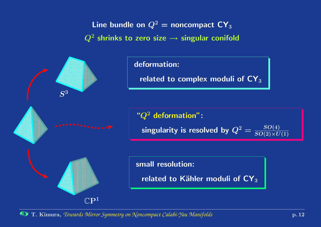Line bundle on  $Q^2=$  noncompact  ${\sf CY}_3$  $Q^2$  shrinks to zero size  $\rightarrow$  singular conifold